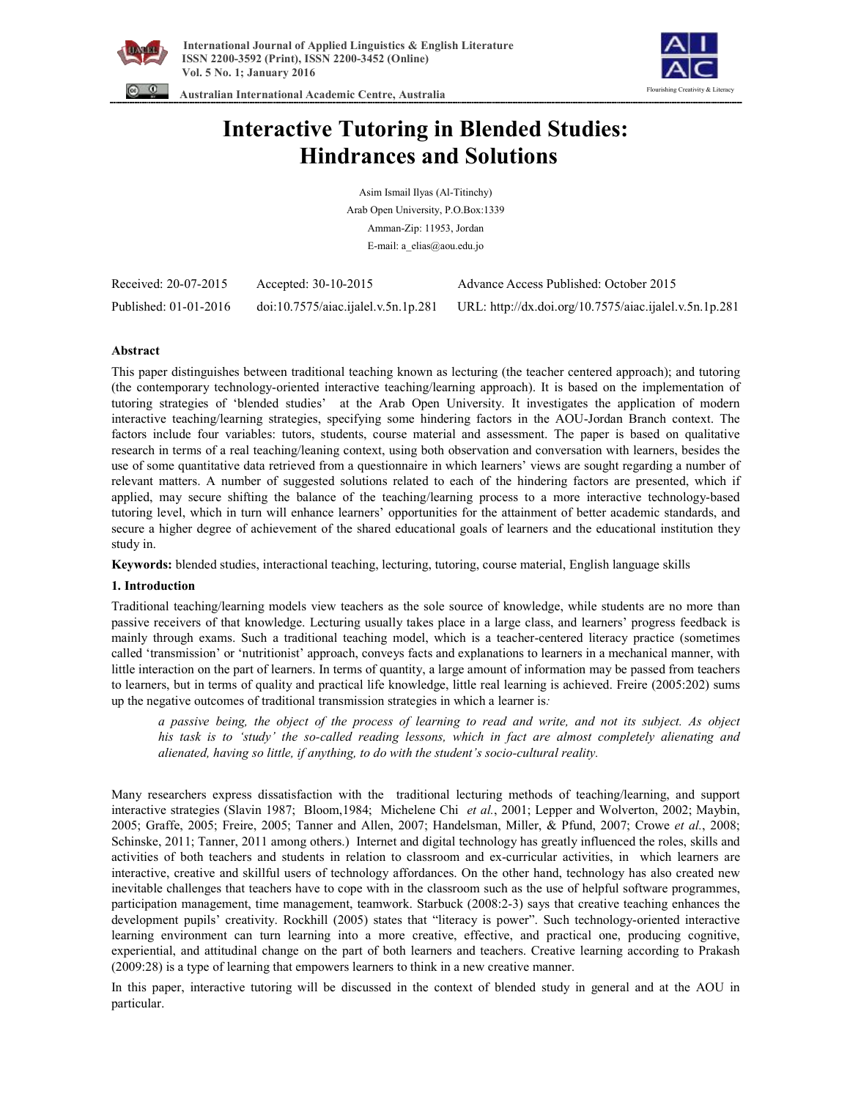



 **Australian International Academic Centre, Australia** 

# **Interactive Tutoring in Blended Studies: Hindrances and Solutions**

Asim Ismail Ilyas (Al-Titinchy) Arab Open University, P.O.Box:1339 Amman-Zip: 11953, Jordan E-mail: a\_elias@aou.edu.jo

| Received: 20-07-2015  | Accepted: $30-10-2015$              | Advance Access Published: October 2015                 |
|-----------------------|-------------------------------------|--------------------------------------------------------|
| Published: 01-01-2016 | doi:10.7575/aiac.ijalel.v.5n.1p.281 | URL: http://dx.doi.org/10.7575/aiac.ijalel.v.5n.1p.281 |

# **Abstract**

This paper distinguishes between traditional teaching known as lecturing (the teacher centered approach); and tutoring (the contemporary technology-oriented interactive teaching/learning approach). It is based on the implementation of tutoring strategies of 'blended studies' at the Arab Open University. It investigates the application of modern interactive teaching/learning strategies, specifying some hindering factors in the AOU-Jordan Branch context. The factors include four variables: tutors, students, course material and assessment. The paper is based on qualitative research in terms of a real teaching/leaning context, using both observation and conversation with learners, besides the use of some quantitative data retrieved from a questionnaire in which learners' views are sought regarding a number of relevant matters. A number of suggested solutions related to each of the hindering factors are presented, which if applied, may secure shifting the balance of the teaching/learning process to a more interactive technology-based tutoring level, which in turn will enhance learners' opportunities for the attainment of better academic standards, and secure a higher degree of achievement of the shared educational goals of learners and the educational institution they study in.

**Keywords:** blended studies, interactional teaching, lecturing, tutoring, course material, English language skills

# **1. Introduction**

Traditional teaching/learning models view teachers as the sole source of knowledge, while students are no more than passive receivers of that knowledge. Lecturing usually takes place in a large class, and learners' progress feedback is mainly through exams. Such a traditional teaching model, which is a teacher-centered literacy practice (sometimes called 'transmission' or 'nutritionist' approach, conveys facts and explanations to learners in a mechanical manner, with little interaction on the part of learners. In terms of quantity, a large amount of information may be passed from teachers to learners, but in terms of quality and practical life knowledge, little real learning is achieved. Freire (2005:202) sums up the negative outcomes of traditional transmission strategies in which a learner is*:* 

a passive being, the object of the process of learning to read and write, and not its subject. As object *his task is to 'study' the so-called reading lessons, which in fact are almost completely alienating and alienated, having so little, if anything, to do with the student's socio-cultural reality.* 

Many researchers express dissatisfaction with the traditional lecturing methods of teaching/learning, and support interactive strategies (Slavin 1987; Bloom,1984; Michelene Chi *et al.*, 2001; Lepper and Wolverton, 2002; Maybin, 2005; Graffe, 2005; Freire, 2005; Tanner and Allen, 2007; Handelsman, Miller, & Pfund, 2007; Crowe *et al.*, 2008; Schinske, 2011; Tanner, 2011 among others.) Internet and digital technology has greatly influenced the roles, skills and activities of both teachers and students in relation to classroom and ex-curricular activities, in which learners are interactive, creative and skillful users of technology affordances. On the other hand, technology has also created new inevitable challenges that teachers have to cope with in the classroom such as the use of helpful software programmes, participation management, time management, teamwork. Starbuck (2008:2-3) says that creative teaching enhances the development pupils' creativity. Rockhill (2005) states that "literacy is power". Such technology-oriented interactive learning environment can turn learning into a more creative, effective, and practical one, producing cognitive, experiential, and attitudinal change on the part of both learners and teachers. Creative learning according to Prakash (2009:28) is a type of learning that empowers learners to think in a new creative manner.

In this paper, interactive tutoring will be discussed in the context of blended study in general and at the AOU in particular.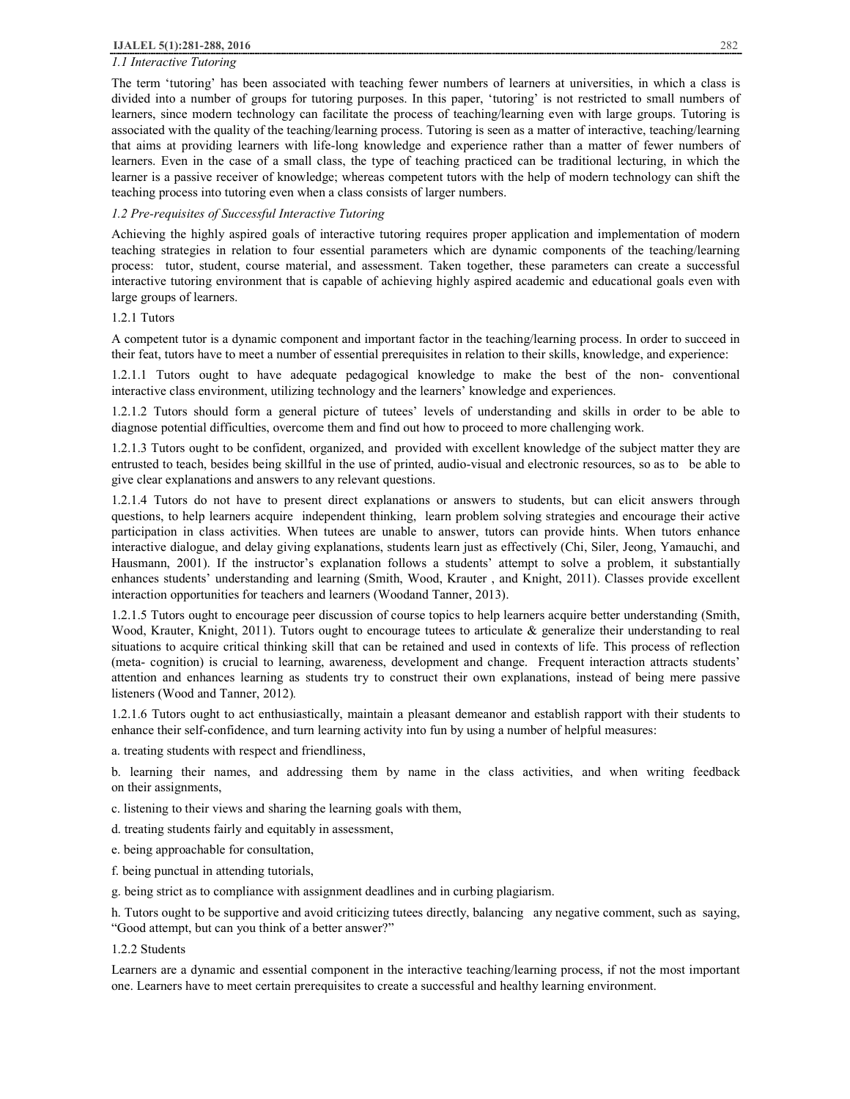# *1.1 Interactive Tutoring*

The term 'tutoring' has been associated with teaching fewer numbers of learners at universities, in which a class is divided into a number of groups for tutoring purposes. In this paper, 'tutoring' is not restricted to small numbers of learners, since modern technology can facilitate the process of teaching/learning even with large groups. Tutoring is associated with the quality of the teaching/learning process. Tutoring is seen as a matter of interactive, teaching/learning that aims at providing learners with life-long knowledge and experience rather than a matter of fewer numbers of learners. Even in the case of a small class, the type of teaching practiced can be traditional lecturing, in which the learner is a passive receiver of knowledge; whereas competent tutors with the help of modern technology can shift the teaching process into tutoring even when a class consists of larger numbers.

## *1.2 Pre-requisites of Successful Interactive Tutoring*

Achieving the highly aspired goals of interactive tutoring requires proper application and implementation of modern teaching strategies in relation to four essential parameters which are dynamic components of the teaching/learning process: tutor, student, course material, and assessment. Taken together, these parameters can create a successful interactive tutoring environment that is capable of achieving highly aspired academic and educational goals even with large groups of learners.

# 1.2.1 Tutors

A competent tutor is a dynamic component and important factor in the teaching/learning process. In order to succeed in their feat, tutors have to meet a number of essential prerequisites in relation to their skills, knowledge, and experience:

1.2.1.1 Tutors ought to have adequate pedagogical knowledge to make the best of the non- conventional interactive class environment, utilizing technology and the learners' knowledge and experiences.

1.2.1.2 Tutors should form a general picture of tutees' levels of understanding and skills in order to be able to diagnose potential difficulties, overcome them and find out how to proceed to more challenging work.

1.2.1.3 Tutors ought to be confident, organized, and provided with excellent knowledge of the subject matter they are entrusted to teach, besides being skillful in the use of printed, audio-visual and electronic resources, so as to be able to give clear explanations and answers to any relevant questions.

1.2.1.4 Tutors do not have to present direct explanations or answers to students, but can elicit answers through questions, to help learners acquire independent thinking, learn problem solving strategies and encourage their active participation in class activities. When tutees are unable to answer, tutors can provide hints. When tutors enhance interactive dialogue, and delay giving explanations, students learn just as effectively (Chi, Siler, Jeong, Yamauchi, and Hausmann, 2001). If the instructor's explanation follows a students' attempt to solve a problem, it substantially enhances students' understanding and learning (Smith, Wood, Krauter , and Knight, 2011). Classes provide excellent interaction opportunities for teachers and learners (Woodand Tanner, 2013).

1.2.1.5 Tutors ought to encourage peer discussion of course topics to help learners acquire better understanding (Smith, Wood, Krauter, Knight, 2011). Tutors ought to encourage tutees to articulate & generalize their understanding to real situations to acquire critical thinking skill that can be retained and used in contexts of life. This process of reflection (meta- cognition) is crucial to learning, awareness, development and change. Frequent interaction attracts students' attention and enhances learning as students try to construct their own explanations, instead of being mere passive listeners (Wood and Tanner, 2012)*.*

1.2.1.6 Tutors ought to act enthusiastically, maintain a pleasant demeanor and establish rapport with their students to enhance their self-confidence, and turn learning activity into fun by using a number of helpful measures:

a. treating students with respect and friendliness,

b. learning their names, and addressing them by name in the class activities, and when writing feedback on their assignments,

- c. listening to their views and sharing the learning goals with them,
- d. treating students fairly and equitably in assessment,
- e. being approachable for consultation,
- f. being punctual in attending tutorials,
- g. being strict as to compliance with assignment deadlines and in curbing plagiarism.

h. Tutors ought to be supportive and avoid criticizing tutees directly, balancing any negative comment, such as saying, "Good attempt, but can you think of a better answer?"

# 1.2.2 Students

Learners are a dynamic and essential component in the interactive teaching/learning process, if not the most important one. Learners have to meet certain prerequisites to create a successful and healthy learning environment.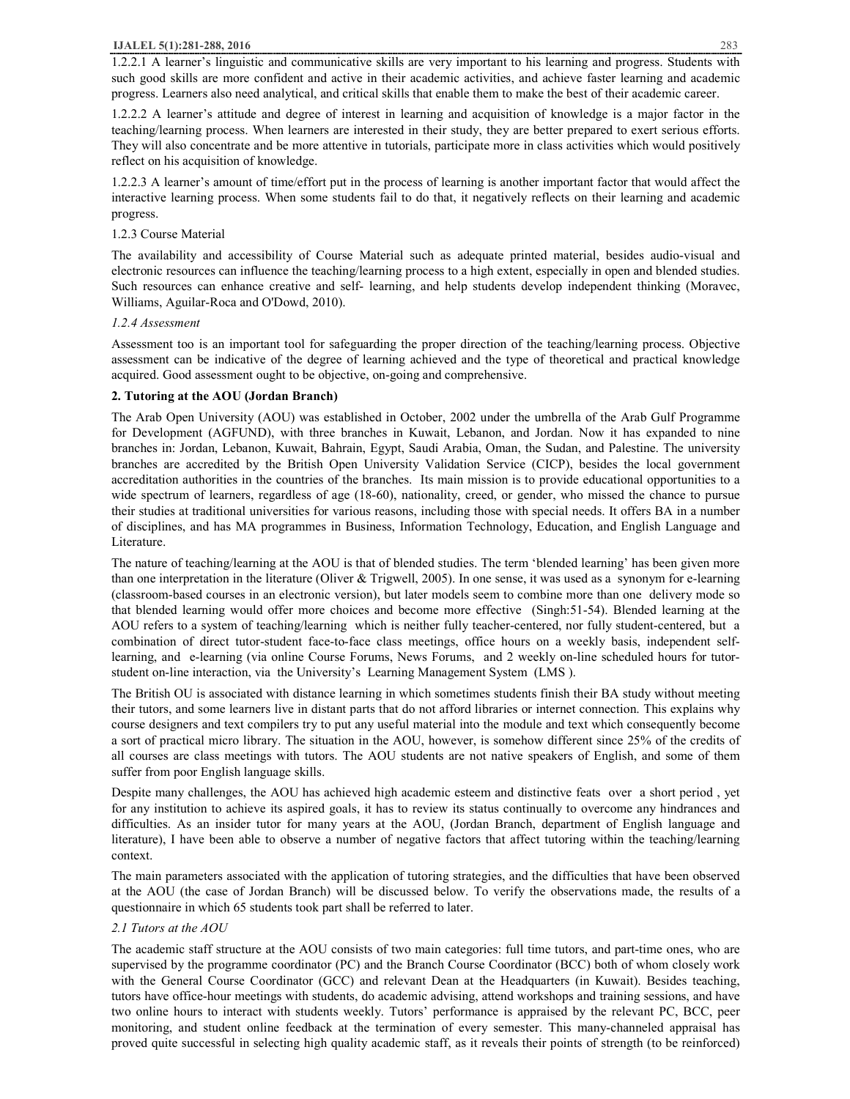1.2.2.1 A learner's linguistic and communicative skills are very important to his learning and progress. Students with such good skills are more confident and active in their academic activities, and achieve faster learning and academic progress. Learners also need analytical, and critical skills that enable them to make the best of their academic career.

1.2.2.2 A learner's attitude and degree of interest in learning and acquisition of knowledge is a major factor in the teaching/learning process. When learners are interested in their study, they are better prepared to exert serious efforts. They will also concentrate and be more attentive in tutorials, participate more in class activities which would positively reflect on his acquisition of knowledge.

1.2.2.3 A learner's amount of time/effort put in the process of learning is another important factor that would affect the interactive learning process. When some students fail to do that, it negatively reflects on their learning and academic progress.

# 1.2.3 Course Material

The availability and accessibility of Course Material such as adequate printed material, besides audio-visual and electronic resources can influence the teaching/learning process to a high extent, especially in open and blended studies. Such resources can enhance creative and self- learning, and help students develop independent thinking (Moravec, Williams, Aguilar-Roca and O'Dowd, 2010).

## *1.2.4 Assessment*

Assessment too is an important tool for safeguarding the proper direction of the teaching/learning process. Objective assessment can be indicative of the degree of learning achieved and the type of theoretical and practical knowledge acquired. Good assessment ought to be objective, on-going and comprehensive.

## **2. Tutoring at the AOU (Jordan Branch)**

The Arab Open University (AOU) was established in October, 2002 under the umbrella of the Arab Gulf Programme for Development (AGFUND), with three branches in Kuwait, Lebanon, and Jordan. Now it has expanded to nine branches in: Jordan, Lebanon, Kuwait, Bahrain, Egypt, Saudi Arabia, Oman, the Sudan, and Palestine. The university branches are accredited by the British Open University Validation Service (CICP), besides the local government accreditation authorities in the countries of the branches. Its main mission is to provide educational opportunities to a wide spectrum of learners, regardless of age (18-60), nationality, creed, or gender, who missed the chance to pursue their studies at traditional universities for various reasons, including those with special needs. It offers BA in a number of disciplines, and has MA programmes in Business, Information Technology, Education, and English Language and Literature.

The nature of teaching/learning at the AOU is that of blended studies. The term 'blended learning' has been given more than one interpretation in the literature (Oliver & Trigwell, 2005). In one sense, it was used as a synonym for e-learning (classroom-based courses in an electronic version), but later models seem to combine more than one delivery mode so that blended learning would offer more choices and become more effective (Singh:51-54). Blended learning at the AOU refers to a system of teaching/learning which is neither fully teacher-centered, nor fully student-centered, but a combination of direct tutor-student face-to-face class meetings, office hours on a weekly basis, independent selflearning, and e-learning (via online Course Forums, News Forums, and 2 weekly on-line scheduled hours for tutorstudent on-line interaction, via the University's Learning Management System (LMS ).

The British OU is associated with distance learning in which sometimes students finish their BA study without meeting their tutors, and some learners live in distant parts that do not afford libraries or internet connection. This explains why course designers and text compilers try to put any useful material into the module and text which consequently become a sort of practical micro library. The situation in the AOU, however, is somehow different since 25% of the credits of all courses are class meetings with tutors. The AOU students are not native speakers of English, and some of them suffer from poor English language skills.

Despite many challenges, the AOU has achieved high academic esteem and distinctive feats over a short period , yet for any institution to achieve its aspired goals, it has to review its status continually to overcome any hindrances and difficulties. As an insider tutor for many years at the AOU, (Jordan Branch, department of English language and literature), I have been able to observe a number of negative factors that affect tutoring within the teaching/learning context.

The main parameters associated with the application of tutoring strategies, and the difficulties that have been observed at the AOU (the case of Jordan Branch) will be discussed below. To verify the observations made, the results of a questionnaire in which 65 students took part shall be referred to later.

# *2.1 Tutors at the AOU*

The academic staff structure at the AOU consists of two main categories: full time tutors, and part-time ones, who are supervised by the programme coordinator (PC) and the Branch Course Coordinator (BCC) both of whom closely work with the General Course Coordinator (GCC) and relevant Dean at the Headquarters (in Kuwait). Besides teaching, tutors have office-hour meetings with students, do academic advising, attend workshops and training sessions, and have two online hours to interact with students weekly. Tutors' performance is appraised by the relevant PC, BCC, peer monitoring, and student online feedback at the termination of every semester. This many-channeled appraisal has proved quite successful in selecting high quality academic staff, as it reveals their points of strength (to be reinforced)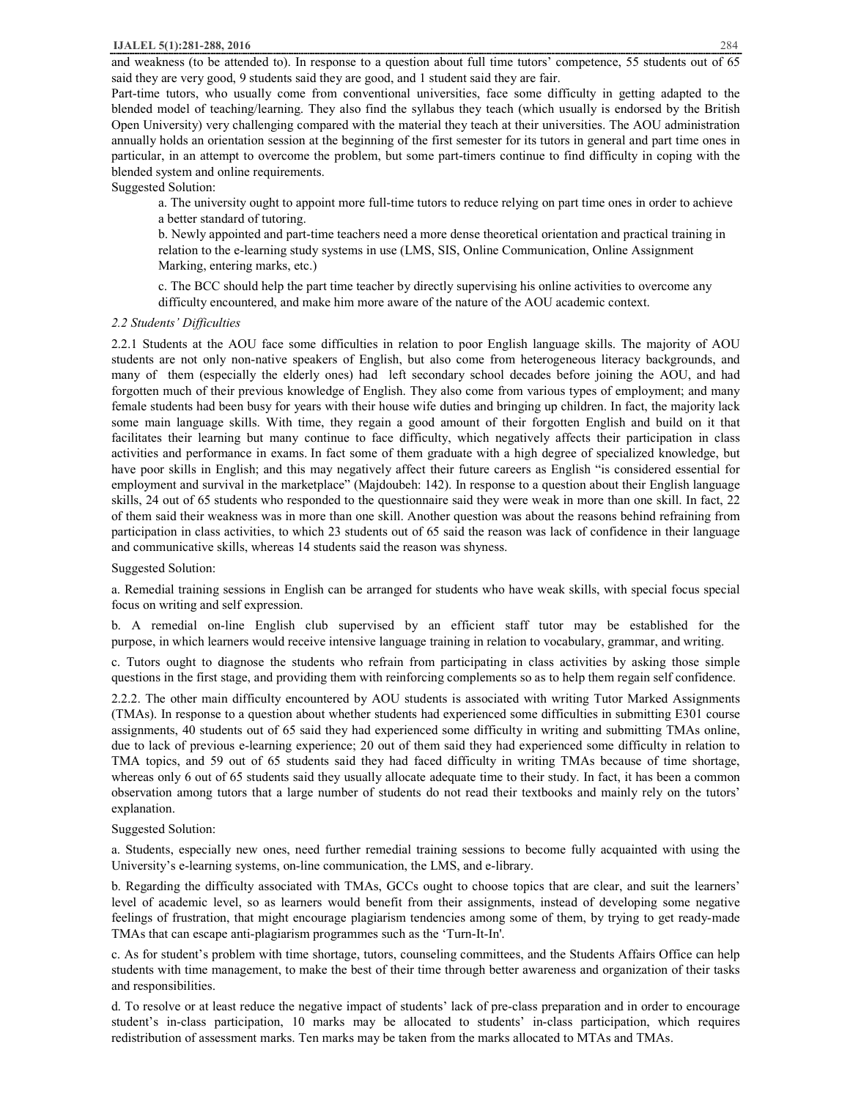and weakness (to be attended to). In response to a question about full time tutors' competence, 55 students out of 65 said they are very good, 9 students said they are good, and 1 student said they are fair.

Part-time tutors, who usually come from conventional universities, face some difficulty in getting adapted to the blended model of teaching/learning. They also find the syllabus they teach (which usually is endorsed by the British Open University) very challenging compared with the material they teach at their universities. The AOU administration annually holds an orientation session at the beginning of the first semester for its tutors in general and part time ones in particular, in an attempt to overcome the problem, but some part-timers continue to find difficulty in coping with the blended system and online requirements.

Suggested Solution:

a. The university ought to appoint more full-time tutors to reduce relying on part time ones in order to achieve a better standard of tutoring.

b. Newly appointed and part-time teachers need a more dense theoretical orientation and practical training in relation to the e-learning study systems in use (LMS, SIS, Online Communication, Online Assignment Marking, entering marks, etc.)

c. The BCC should help the part time teacher by directly supervising his online activities to overcome any difficulty encountered, and make him more aware of the nature of the AOU academic context.

## *2.2 Students' Difficulties*

2.2.1 Students at the AOU face some difficulties in relation to poor English language skills. The majority of AOU students are not only non-native speakers of English, but also come from heterogeneous literacy backgrounds, and many of them (especially the elderly ones) had left secondary school decades before joining the AOU, and had forgotten much of their previous knowledge of English. They also come from various types of employment; and many female students had been busy for years with their house wife duties and bringing up children. In fact, the majority lack some main language skills. With time, they regain a good amount of their forgotten English and build on it that facilitates their learning but many continue to face difficulty, which negatively affects their participation in class activities and performance in exams. In fact some of them graduate with a high degree of specialized knowledge, but have poor skills in English; and this may negatively affect their future careers as English "is considered essential for employment and survival in the marketplace" (Majdoubeh: 142). In response to a question about their English language skills, 24 out of 65 students who responded to the questionnaire said they were weak in more than one skill. In fact, 22 of them said their weakness was in more than one skill. Another question was about the reasons behind refraining from participation in class activities, to which 23 students out of 65 said the reason was lack of confidence in their language and communicative skills, whereas 14 students said the reason was shyness.

## Suggested Solution:

a. Remedial training sessions in English can be arranged for students who have weak skills, with special focus special focus on writing and self expression.

b. A remedial on-line English club supervised by an efficient staff tutor may be established for the purpose, in which learners would receive intensive language training in relation to vocabulary, grammar, and writing.

c. Tutors ought to diagnose the students who refrain from participating in class activities by asking those simple questions in the first stage, and providing them with reinforcing complements so as to help them regain self confidence.

2.2.2. The other main difficulty encountered by AOU students is associated with writing Tutor Marked Assignments (TMAs). In response to a question about whether students had experienced some difficulties in submitting E301 course assignments, 40 students out of 65 said they had experienced some difficulty in writing and submitting TMAs online, due to lack of previous e-learning experience; 20 out of them said they had experienced some difficulty in relation to TMA topics, and 59 out of 65 students said they had faced difficulty in writing TMAs because of time shortage, whereas only 6 out of 65 students said they usually allocate adequate time to their study. In fact, it has been a common observation among tutors that a large number of students do not read their textbooks and mainly rely on the tutors' explanation.

## Suggested Solution:

a. Students, especially new ones, need further remedial training sessions to become fully acquainted with using the University's e-learning systems, on-line communication, the LMS, and e-library.

b. Regarding the difficulty associated with TMAs, GCCs ought to choose topics that are clear, and suit the learners' level of academic level, so as learners would benefit from their assignments, instead of developing some negative feelings of frustration, that might encourage plagiarism tendencies among some of them, by trying to get ready-made TMAs that can escape anti-plagiarism programmes such as the 'Turn-It-In'.

c. As for student's problem with time shortage, tutors, counseling committees, and the Students Affairs Office can help students with time management, to make the best of their time through better awareness and organization of their tasks and responsibilities.

d. To resolve or at least reduce the negative impact of students' lack of pre-class preparation and in order to encourage student's in-class participation, 10 marks may be allocated to students' in-class participation, which requires redistribution of assessment marks. Ten marks may be taken from the marks allocated to MTAs and TMAs.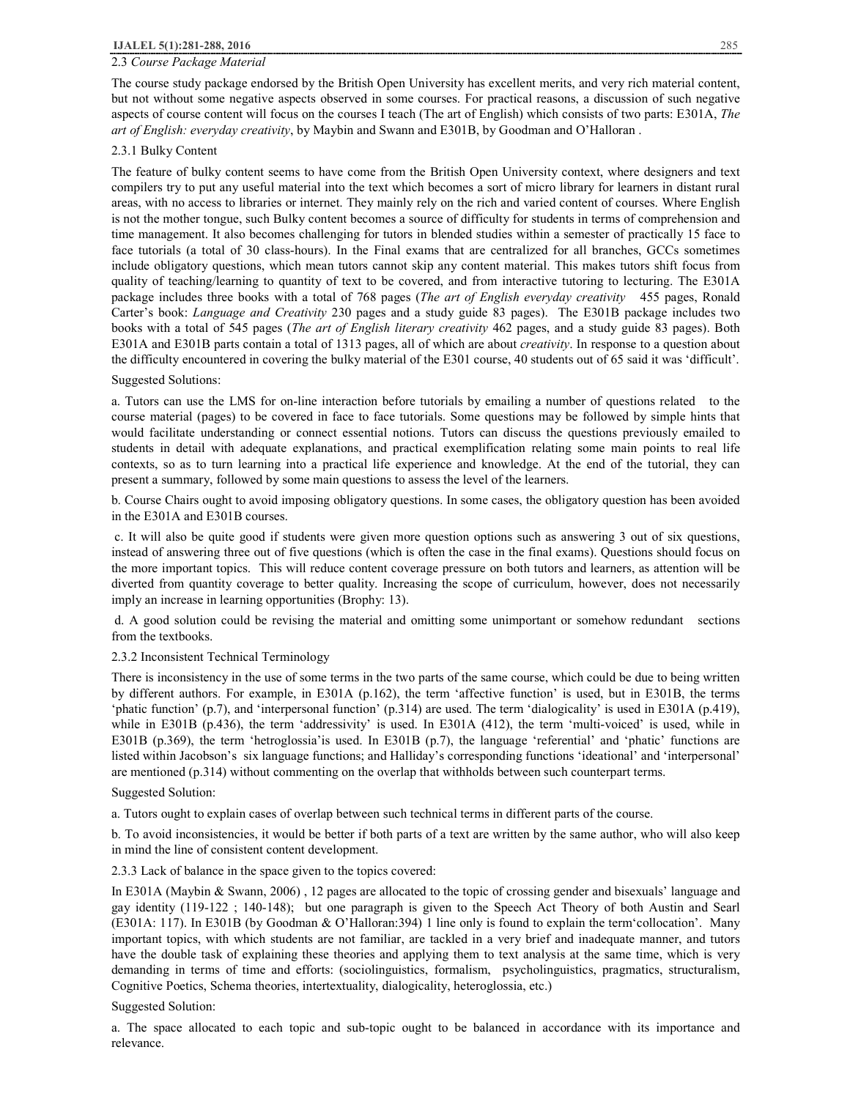# 2.3 *Course Package Material*

The course study package endorsed by the British Open University has excellent merits, and very rich material content, but not without some negative aspects observed in some courses. For practical reasons, a discussion of such negative aspects of course content will focus on the courses I teach (The art of English) which consists of two parts: E301A, *The art of English: everyday creativity*, by Maybin and Swann and E301B, by Goodman and O'Halloran .

## 2.3.1 Bulky Content

The feature of bulky content seems to have come from the British Open University context, where designers and text compilers try to put any useful material into the text which becomes a sort of micro library for learners in distant rural areas, with no access to libraries or internet. They mainly rely on the rich and varied content of courses. Where English is not the mother tongue, such Bulky content becomes a source of difficulty for students in terms of comprehension and time management. It also becomes challenging for tutors in blended studies within a semester of practically 15 face to face tutorials (a total of 30 class-hours). In the Final exams that are centralized for all branches, GCCs sometimes include obligatory questions, which mean tutors cannot skip any content material. This makes tutors shift focus from quality of teaching/learning to quantity of text to be covered, and from interactive tutoring to lecturing. The E301A package includes three books with a total of 768 pages (*The art of English everyday creativity* 455 pages, Ronald Carter's book: *Language and Creativity* 230 pages and a study guide 83 pages). The E301B package includes two books with a total of 545 pages (*The art of English literary creativity* 462 pages, and a study guide 83 pages). Both E301A and E301B parts contain a total of 1313 pages, all of which are about *creativity*. In response to a question about the difficulty encountered in covering the bulky material of the E301 course, 40 students out of 65 said it was 'difficult'.

# Suggested Solutions:

a. Tutors can use the LMS for on-line interaction before tutorials by emailing a number of questions related to the course material (pages) to be covered in face to face tutorials. Some questions may be followed by simple hints that would facilitate understanding or connect essential notions. Tutors can discuss the questions previously emailed to students in detail with adequate explanations, and practical exemplification relating some main points to real life contexts, so as to turn learning into a practical life experience and knowledge. At the end of the tutorial, they can present a summary, followed by some main questions to assess the level of the learners.

b. Course Chairs ought to avoid imposing obligatory questions. In some cases, the obligatory question has been avoided in the E301A and E301B courses.

c. It will also be quite good if students were given more question options such as answering 3 out of six questions, instead of answering three out of five questions (which is often the case in the final exams). Questions should focus on the more important topics. This will reduce content coverage pressure on both tutors and learners, as attention will be diverted from quantity coverage to better quality. Increasing the scope of curriculum, however, does not necessarily imply an increase in learning opportunities (Brophy: 13).

d. A good solution could be revising the material and omitting some unimportant or somehow redundant sections from the textbooks.

## 2.3.2 Inconsistent Technical Terminology

There is inconsistency in the use of some terms in the two parts of the same course, which could be due to being written by different authors. For example, in E301A (p.162), the term 'affective function' is used, but in E301B, the terms 'phatic function' (p.7), and 'interpersonal function' (p.314) are used. The term 'dialogicality' is used in E301A (p.419), while in E301B (p.436), the term 'addressivity' is used. In E301A (412), the term 'multi-voiced' is used, while in E301B (p.369), the term 'hetroglossia'is used. In E301B (p.7), the language 'referential' and 'phatic' functions are listed within Jacobson's six language functions; and Halliday's corresponding functions 'ideational' and 'interpersonal' are mentioned (p.314) without commenting on the overlap that withholds between such counterpart terms.

#### Suggested Solution:

a. Tutors ought to explain cases of overlap between such technical terms in different parts of the course.

b. To avoid inconsistencies, it would be better if both parts of a text are written by the same author, who will also keep in mind the line of consistent content development.

## 2.3.3 Lack of balance in the space given to the topics covered:

In E301A (Maybin & Swann, 2006) , 12 pages are allocated to the topic of crossing gender and bisexuals' language and gay identity (119-122 ; 140-148); but one paragraph is given to the Speech Act Theory of both Austin and Searl (E301A: 117). In E301B (by Goodman & O'Halloran:394) 1 line only is found to explain the term'collocation'. Many important topics, with which students are not familiar, are tackled in a very brief and inadequate manner, and tutors have the double task of explaining these theories and applying them to text analysis at the same time, which is very demanding in terms of time and efforts: (sociolinguistics, formalism, psycholinguistics, pragmatics, structuralism, Cognitive Poetics, Schema theories, intertextuality, dialogicality, heteroglossia, etc.)

#### Suggested Solution:

a. The space allocated to each topic and sub-topic ought to be balanced in accordance with its importance and relevance.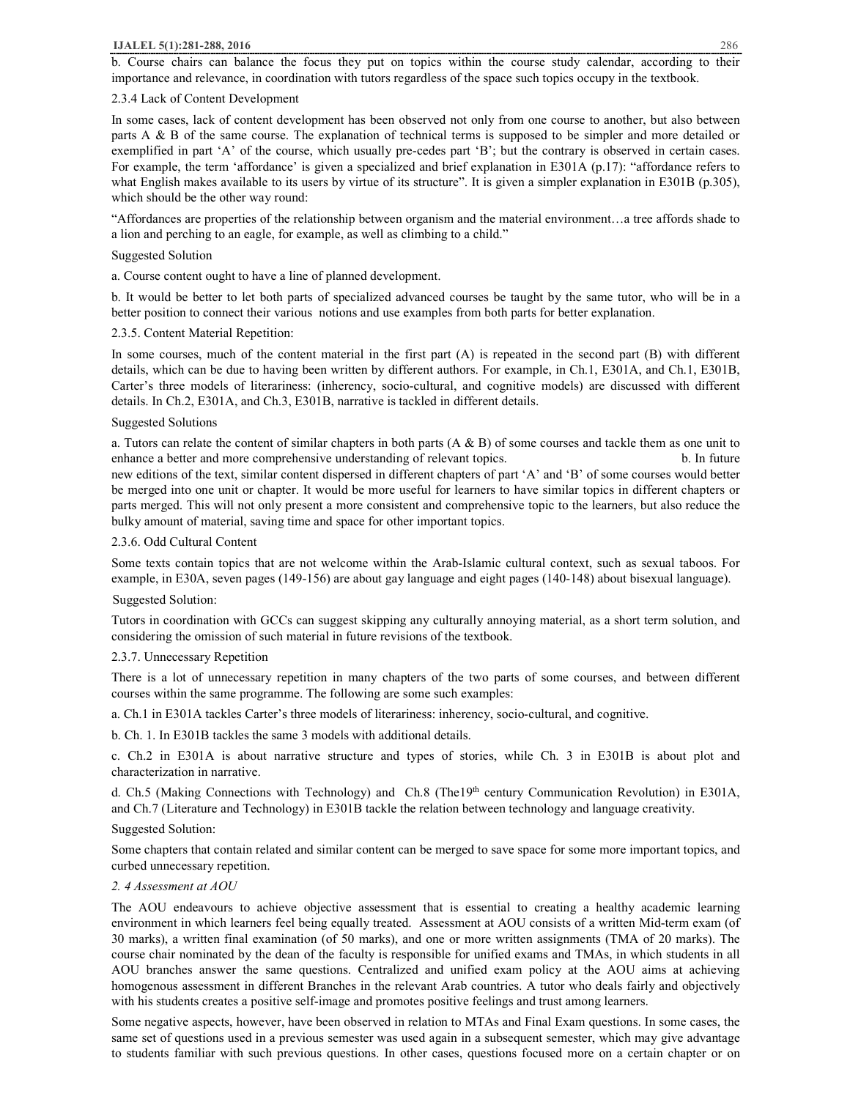## **IJALEL 5(1):281-288, 2016** 286

b. Course chairs can balance the focus they put on topics within the course study calendar, according to their importance and relevance, in coordination with tutors regardless of the space such topics occupy in the textbook.

## 2.3.4 Lack of Content Development

In some cases, lack of content development has been observed not only from one course to another, but also between parts A & B of the same course. The explanation of technical terms is supposed to be simpler and more detailed or exemplified in part 'A' of the course, which usually pre-cedes part 'B'; but the contrary is observed in certain cases. For example, the term 'affordance' is given a specialized and brief explanation in E301A (p.17): "affordance refers to what English makes available to its users by virtue of its structure". It is given a simpler explanation in E301B (p.305), which should be the other way round:

"Affordances are properties of the relationship between organism and the material environment…a tree affords shade to a lion and perching to an eagle, for example, as well as climbing to a child."

#### Suggested Solution

a. Course content ought to have a line of planned development.

b. It would be better to let both parts of specialized advanced courses be taught by the same tutor, who will be in a better position to connect their various notions and use examples from both parts for better explanation.

#### 2.3.5. Content Material Repetition:

In some courses, much of the content material in the first part (A) is repeated in the second part (B) with different details, which can be due to having been written by different authors. For example, in Ch.1, E301A, and Ch.1, E301B, Carter's three models of literariness: (inherency, socio-cultural, and cognitive models) are discussed with different details. In Ch.2, E301A, and Ch.3, E301B, narrative is tackled in different details.

## Suggested Solutions

a. Tutors can relate the content of similar chapters in both parts  $(A \& B)$  of some courses and tackle them as one unit to enhance a better and more comprehensive understanding of relevant topics. b. In future b. In future new editions of the text, similar content dispersed in different chapters of part 'A' and 'B' of some courses would better be merged into one unit or chapter. It would be more useful for learners to have similar topics in different chapters or parts merged. This will not only present a more consistent and comprehensive topic to the learners, but also reduce the bulky amount of material, saving time and space for other important topics.

## 2.3.6. Odd Cultural Content

Some texts contain topics that are not welcome within the Arab-Islamic cultural context, such as sexual taboos. For example, in E30A, seven pages (149-156) are about gay language and eight pages (140-148) about bisexual language).

#### Suggested Solution:

Tutors in coordination with GCCs can suggest skipping any culturally annoying material, as a short term solution, and considering the omission of such material in future revisions of the textbook.

## 2.3.7. Unnecessary Repetition

There is a lot of unnecessary repetition in many chapters of the two parts of some courses, and between different courses within the same programme. The following are some such examples:

a. Ch.1 in E301A tackles Carter's three models of literariness: inherency, socio-cultural, and cognitive.

b. Ch. 1. In E301B tackles the same 3 models with additional details.

c. Ch.2 in E301A is about narrative structure and types of stories, while Ch. 3 in E301B is about plot and characterization in narrative.

d. Ch.5 (Making Connections with Technology) and Ch.8 (The19<sup>th</sup> century Communication Revolution) in E301A, and Ch.7 (Literature and Technology) in E301B tackle the relation between technology and language creativity.

Suggested Solution:

Some chapters that contain related and similar content can be merged to save space for some more important topics, and curbed unnecessary repetition.

### *2. 4 Assessment at AOU*

The AOU endeavours to achieve objective assessment that is essential to creating a healthy academic learning environment in which learners feel being equally treated. Assessment at AOU consists of a written Mid-term exam (of 30 marks), a written final examination (of 50 marks), and one or more written assignments (TMA of 20 marks). The course chair nominated by the dean of the faculty is responsible for unified exams and TMAs, in which students in all AOU branches answer the same questions. Centralized and unified exam policy at the AOU aims at achieving homogenous assessment in different Branches in the relevant Arab countries. A tutor who deals fairly and objectively with his students creates a positive self-image and promotes positive feelings and trust among learners.

Some negative aspects, however, have been observed in relation to MTAs and Final Exam questions. In some cases, the same set of questions used in a previous semester was used again in a subsequent semester, which may give advantage to students familiar with such previous questions. In other cases, questions focused more on a certain chapter or on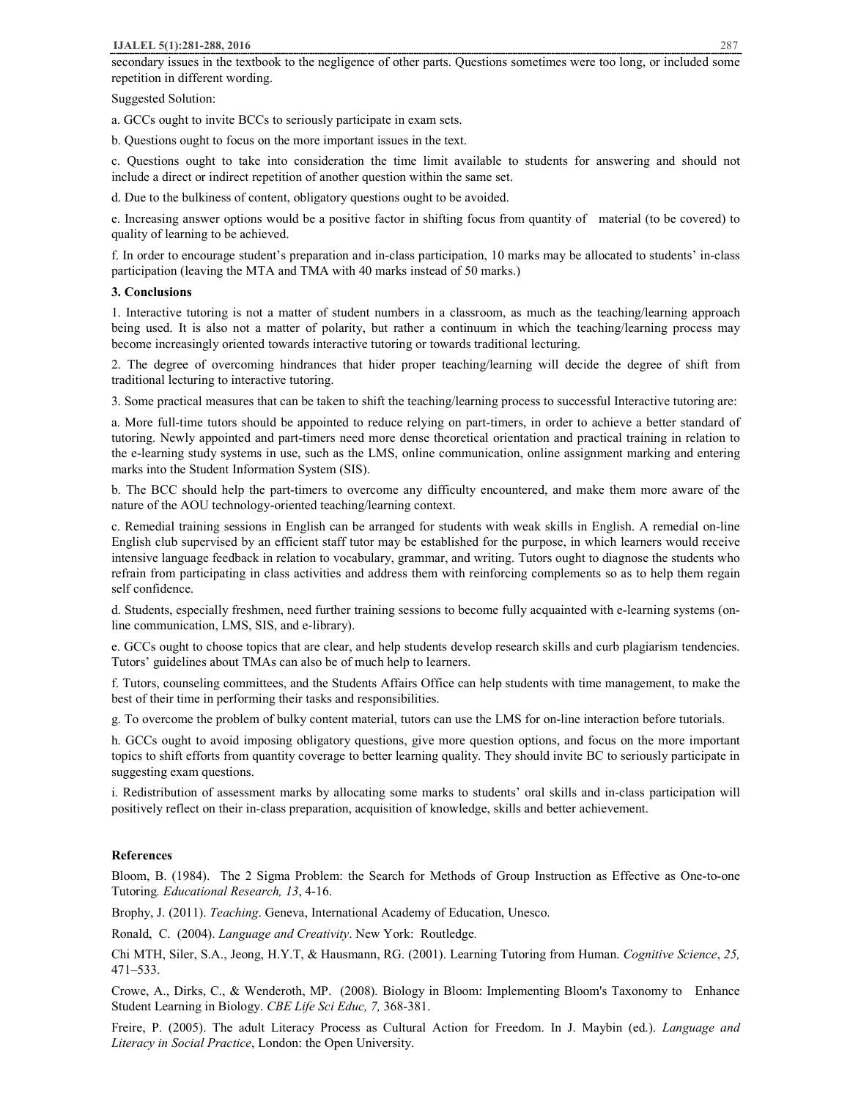## **IJALEL 5(1):281-288, 2016** 287

secondary issues in the textbook to the negligence of other parts. Questions sometimes were too long, or included some repetition in different wording.

Suggested Solution:

a. GCCs ought to invite BCCs to seriously participate in exam sets.

b. Questions ought to focus on the more important issues in the text.

c. Questions ought to take into consideration the time limit available to students for answering and should not include a direct or indirect repetition of another question within the same set.

d. Due to the bulkiness of content, obligatory questions ought to be avoided.

e. Increasing answer options would be a positive factor in shifting focus from quantity of material (to be covered) to quality of learning to be achieved.

f. In order to encourage student's preparation and in-class participation, 10 marks may be allocated to students' in-class participation (leaving the MTA and TMA with 40 marks instead of 50 marks.)

#### **3. Conclusions**

1. Interactive tutoring is not a matter of student numbers in a classroom, as much as the teaching/learning approach being used. It is also not a matter of polarity, but rather a continuum in which the teaching/learning process may become increasingly oriented towards interactive tutoring or towards traditional lecturing.

2. The degree of overcoming hindrances that hider proper teaching/learning will decide the degree of shift from traditional lecturing to interactive tutoring.

3. Some practical measures that can be taken to shift the teaching/learning process to successful Interactive tutoring are:

a. More full-time tutors should be appointed to reduce relying on part-timers, in order to achieve a better standard of tutoring. Newly appointed and part-timers need more dense theoretical orientation and practical training in relation to the e-learning study systems in use, such as the LMS, online communication, online assignment marking and entering marks into the Student Information System (SIS).

b. The BCC should help the part-timers to overcome any difficulty encountered, and make them more aware of the nature of the AOU technology-oriented teaching/learning context.

c. Remedial training sessions in English can be arranged for students with weak skills in English. A remedial on-line English club supervised by an efficient staff tutor may be established for the purpose, in which learners would receive intensive language feedback in relation to vocabulary, grammar, and writing. Tutors ought to diagnose the students who refrain from participating in class activities and address them with reinforcing complements so as to help them regain self confidence.

d. Students, especially freshmen, need further training sessions to become fully acquainted with e-learning systems (online communication, LMS, SIS, and e-library).

e. GCCs ought to choose topics that are clear, and help students develop research skills and curb plagiarism tendencies. Tutors' guidelines about TMAs can also be of much help to learners.

f. Tutors, counseling committees, and the Students Affairs Office can help students with time management, to make the best of their time in performing their tasks and responsibilities.

g. To overcome the problem of bulky content material, tutors can use the LMS for on-line interaction before tutorials.

h. GCCs ought to avoid imposing obligatory questions, give more question options, and focus on the more important topics to shift efforts from quantity coverage to better learning quality. They should invite BC to seriously participate in suggesting exam questions.

i. Redistribution of assessment marks by allocating some marks to students' oral skills and in-class participation will positively reflect on their in-class preparation, acquisition of knowledge, skills and better achievement.

# **References**

Bloom, B. (1984). The 2 Sigma Problem: the Search for Methods of Group Instruction as Effective as One-to-one Tutoring*. Educational Research, 13*, 4-16.

Brophy, J. (2011). *Teaching*. Geneva, International Academy of Education, Unesco.

Ronald, C. (2004). *Language and Creativity*. New York: Routledge*.* 

Chi MTH, Siler, S.A., Jeong, H.Y.T, & Hausmann, RG. (2001). Learning Tutoring from Human. *Cognitive Science*, *25,* 471–533.

Crowe, A., Dirks, C., & Wenderoth, MP. (2008)*.* Biology in Bloom: Implementing Bloom's Taxonomy to Enhance Student Learning in Biology. *CBE Life Sci Educ, 7,* 368-381.

Freire, P. (2005). The adult Literacy Process as Cultural Action for Freedom. In J. Maybin (ed.). *Language and Literacy in Social Practice*, London: the Open University.